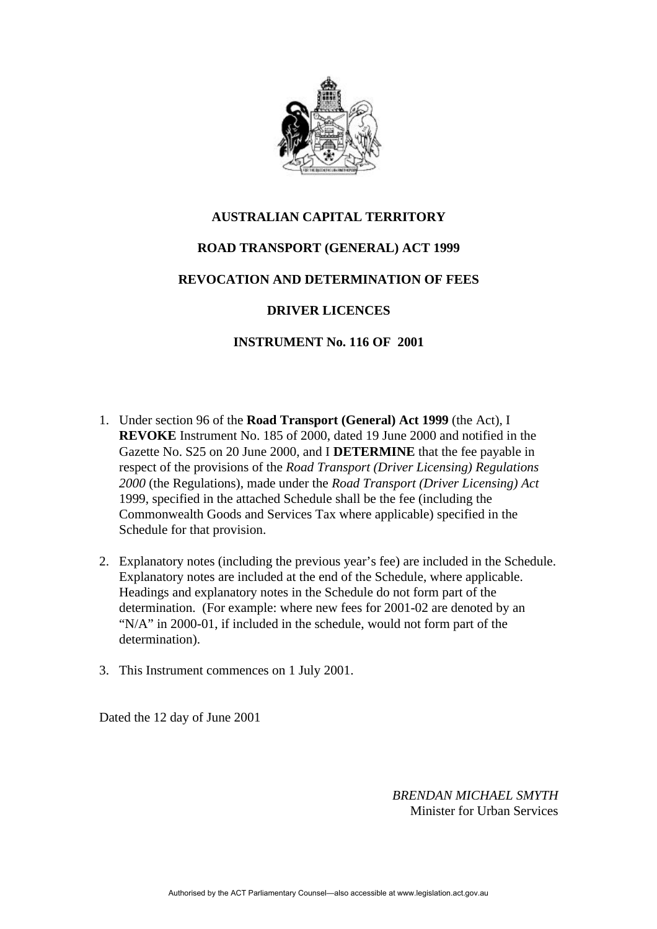

## **AUSTRALIAN CAPITAL TERRITORY**

### **ROAD TRANSPORT (GENERAL) ACT 1999**

### **REVOCATION AND DETERMINATION OF FEES**

# **DRIVER LICENCES**

#### **INSTRUMENT No. 116 OF 2001**

- 1. Under section 96 of the **Road Transport (General) Act 1999** (the Act)*,* I **REVOKE** Instrument No. 185 of 2000, dated 19 June 2000 and notified in the Gazette No. S25 on 20 June 2000, and I **DETERMINE** that the fee payable in respect of the provisions of the *Road Transport (Driver Licensing) Regulations 2000* (the Regulations), made under the *Road Transport (Driver Licensing) Act* 1999, specified in the attached Schedule shall be the fee (including the Commonwealth Goods and Services Tax where applicable) specified in the Schedule for that provision.
- 2. Explanatory notes (including the previous year's fee) are included in the Schedule. Explanatory notes are included at the end of the Schedule, where applicable. Headings and explanatory notes in the Schedule do not form part of the determination. (For example: where new fees for 2001-02 are denoted by an "N/A" in 2000-01, if included in the schedule, would not form part of the determination).
- 3. This Instrument commences on 1 July 2001.

Dated the 12 day of June 2001

*BRENDAN MICHAEL SMYTH* Minister for Urban Services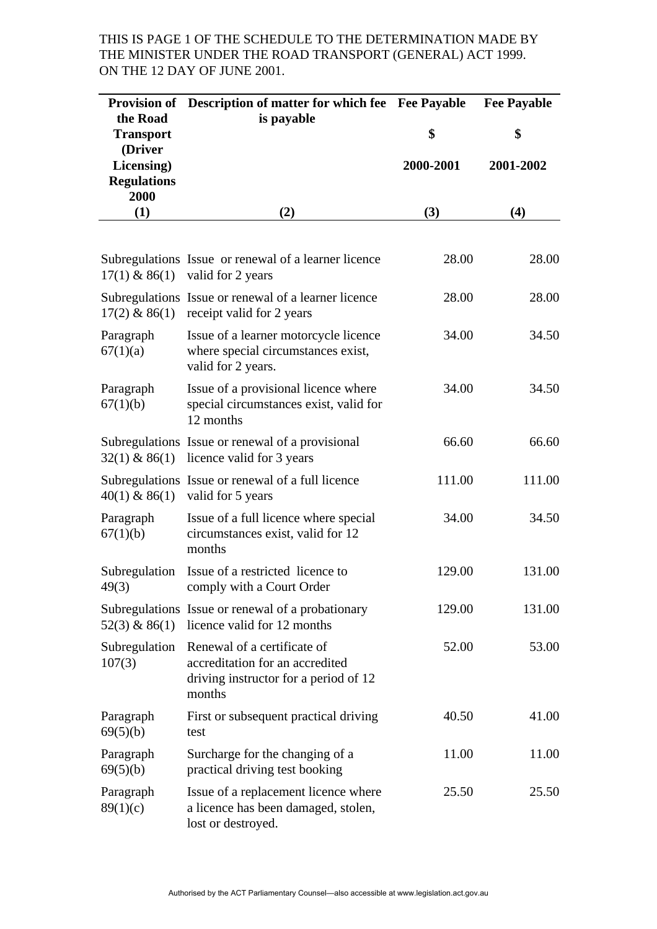# THIS IS PAGE 1 OF THE SCHEDULE TO THE DETERMINATION MADE BY THE MINISTER UNDER THE ROAD TRANSPORT (GENERAL) ACT 1999. ON THE 12 DAY OF JUNE 2001.

|                                                     | Provision of Description of matter for which fee Fee Payable                                                      |           | <b>Fee Payable</b> |
|-----------------------------------------------------|-------------------------------------------------------------------------------------------------------------------|-----------|--------------------|
| the Road<br><b>Transport</b>                        | is payable                                                                                                        | \$        | \$                 |
| (Driver<br>Licensing)<br><b>Regulations</b><br>2000 |                                                                                                                   | 2000-2001 | 2001-2002          |
| (1)                                                 | (2)                                                                                                               | (3)       | (4)                |
|                                                     |                                                                                                                   |           |                    |
| $17(1)$ & 86(1)                                     | Subregulations Issue or renewal of a learner licence<br>valid for 2 years                                         | 28.00     | 28.00              |
| $17(2)$ & 86(1)                                     | Subregulations Issue or renewal of a learner licence<br>receipt valid for 2 years                                 | 28.00     | 28.00              |
| Paragraph<br>67(1)(a)                               | Issue of a learner motorcycle licence<br>where special circumstances exist,<br>valid for 2 years.                 | 34.00     | 34.50              |
| Paragraph<br>67(1)(b)                               | Issue of a provisional licence where<br>special circumstances exist, valid for<br>12 months                       | 34.00     | 34.50              |
|                                                     | Subregulations Issue or renewal of a provisional<br>$32(1)$ & 86(1) licence valid for 3 years                     | 66.60     | 66.60              |
| $40(1)$ & 86(1)                                     | Subregulations Issue or renewal of a full licence<br>valid for 5 years                                            | 111.00    | 111.00             |
| Paragraph<br>67(1)(b)                               | Issue of a full licence where special<br>circumstances exist, valid for 12<br>months                              | 34.00     | 34.50              |
| 49(3)                                               | Subregulation Issue of a restricted licence to<br>comply with a Court Order                                       | 129.00    | 131.00             |
| $52(3)$ & 86(1)                                     | Subregulations Issue or renewal of a probationary<br>licence valid for 12 months                                  | 129.00    | 131.00             |
| Subregulation<br>107(3)                             | Renewal of a certificate of<br>accreditation for an accredited<br>driving instructor for a period of 12<br>months | 52.00     | 53.00              |
| Paragraph<br>69(5)(b)                               | First or subsequent practical driving<br>test                                                                     | 40.50     | 41.00              |
| Paragraph<br>69(5)(b)                               | Surcharge for the changing of a<br>practical driving test booking                                                 | 11.00     | 11.00              |
| Paragraph<br>89(1)(c)                               | Issue of a replacement licence where<br>a licence has been damaged, stolen,<br>lost or destroyed.                 | 25.50     | 25.50              |